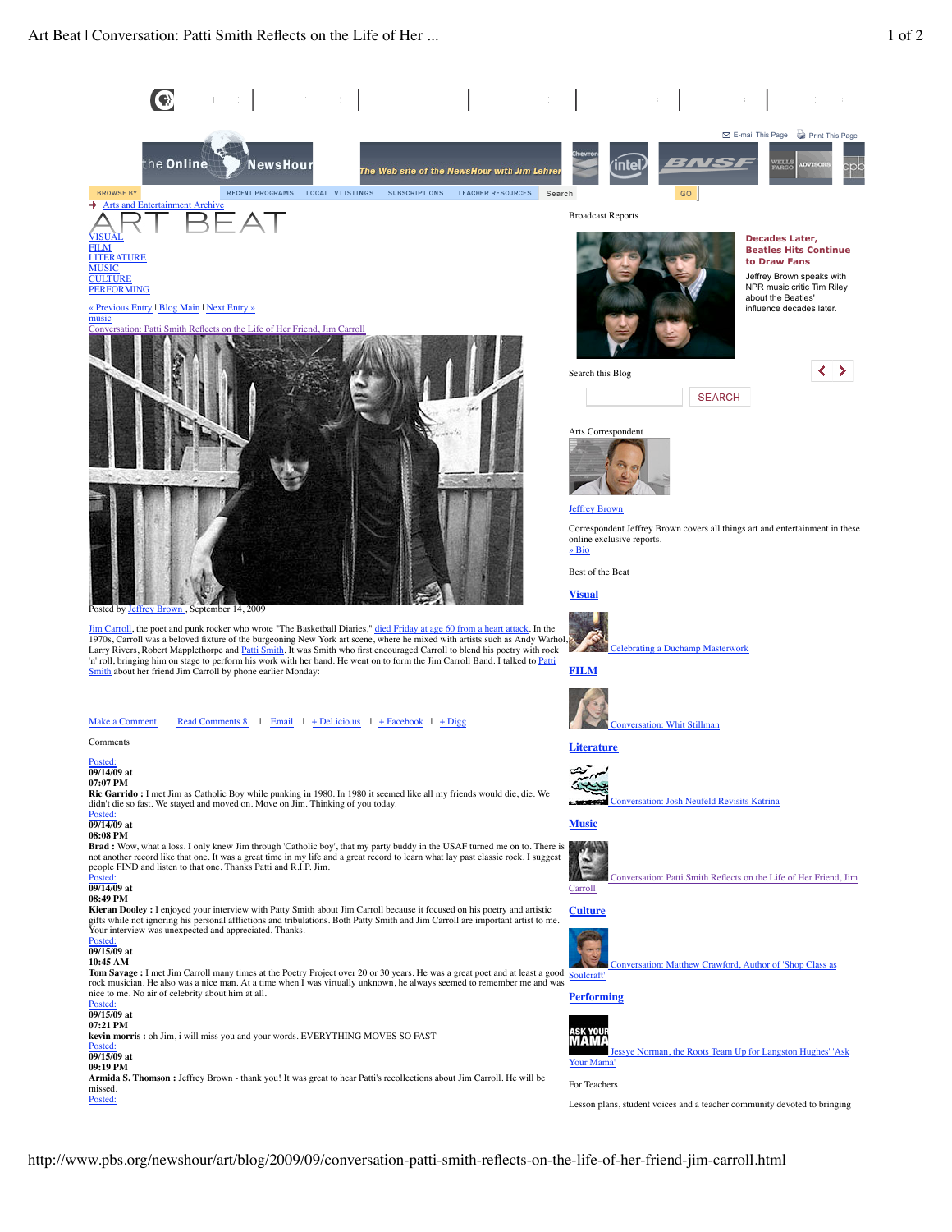PROGRAMS A-Z

**NewsHour** 

RECENT PROGRAMS

PBS HOME

Arts and I

**BROWSE BY** 

« Previous Entry | Blog Main | Next Entry »

the Online

Conversation: Patti Smith Reflects on the Life of Her Friend, Jim Carroll

er 14, 2009

Smith about her friend Jim Carroll by phone earlier Monday:

VISUAL FILM LITERATURE **MUSIC CULTURE PERFORMING** 

music



**Performing**



## sye Norman, the Roots Team Up for Langston Hughes' 'Ask Your Mar

For Teachers

Lesson plans, student voices and a teacher community devoted to bringing

**Ric Garrido :** I met Jim as Catholic Boy while punking in 1980. In 1980 it seemed like all my friends would die, die. We didn't die so fast. We stayed and moved on. Move on Jim. Thinking of you today. **Brad :** Wow, what a loss. I only knew Jim through 'Catholic boy', that my party buddy in the USAF turned me on to. There is not another record like that one. It was a great time in my life and a great record to learn what lay past classic rock. I suggest people FIND and listen to that one. Thanks Patti and R.I.P. Jim. **Kieran Dooley :** I enjoyed your interview with Patty Smith about Jim Carroll because it focused on his poetry and artistic gifts while not ignoring his personal afflictions and tribulations. Both Patty Smith and Jim Carroll are important artist to me. Your interview was unexpected and appreciated. Thanks. **Tom Savage :** I met Jim Carroll many times at the Poetry Project over 20 or 30 years. He was a great poet and at least a good rock musician. He also was a nice man. At a time when I was virtually unknown, he always seemed to remember me and was nice to me. No air of celebrity about him at all.

Posted: **09/15/09 at 07:21 PM kevin morris :** oh Jim, i will miss you and your words. EVERYTHING MOVES SO FAST

## Posted: **09/15/09 at**

Comments Posted: **09/14/09 at 07:07 PM**

Posted: **09/14/09 at 08:08 PM**

Posted: **09/14/09 at 08:49 PM**

Posted: **09/15/09 at 10:45 AM**

**09:19 PM**

**Armida S. Thomson :** Jeffrey Brown - thank you! It was great to hear Patti's recollections about Jim Carroll. He will be missed. Posted: